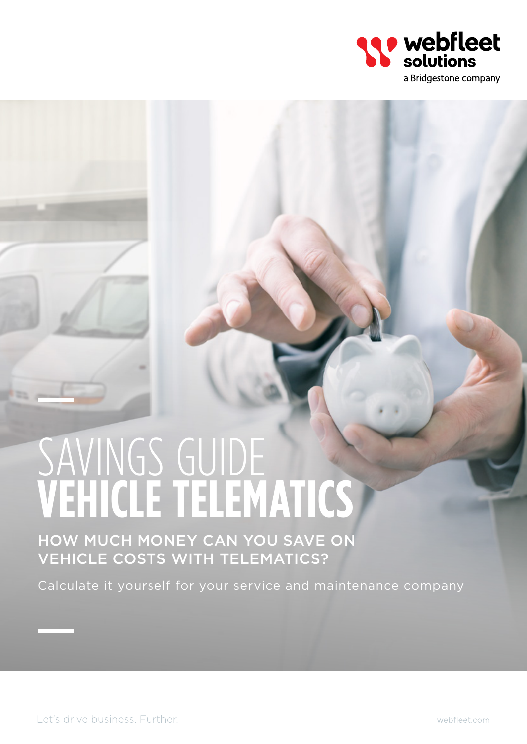

# SAVINGS GUIDE **Vehicle telematics**

How much money can you save on vehicle costs with telematics?

Calculate it yourself for your service and maintenance company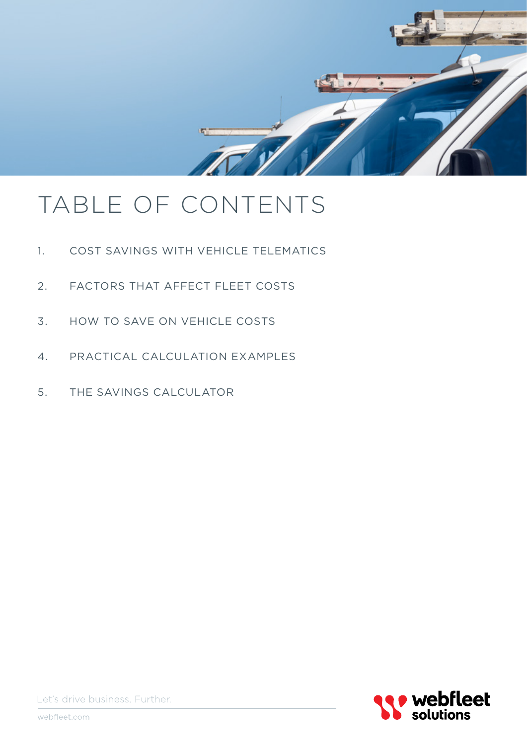

# TABLE OF CONTENTS

- 1. Cost savings with vehicle telematics
- 2. Factors that affect fleet costs
- 3. How to save on vehicle costs
- 4. Practical calculation examples
- 5. The savings calculator



Let's drive business. Further.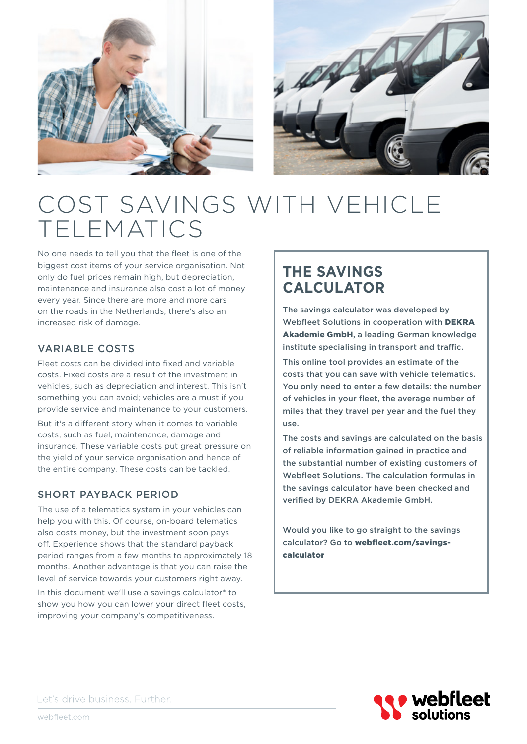



# Cost savings with vehicle **TELEMATICS**

No one needs to tell you that the fleet is one of the biggest cost items of your service organisation. Not only do fuel prices remain high, but depreciation, maintenance and insurance also cost a lot of money every year. Since there are more and more cars on the roads in the Netherlands, there's also an increased risk of damage.

#### Variable costs

Fleet costs can be divided into fixed and variable costs. Fixed costs are a result of the investment in vehicles, such as depreciation and interest. This isn't something you can avoid; vehicles are a must if you provide service and maintenance to your customers.

But it's a different story when it comes to variable costs, such as fuel, maintenance, damage and insurance. These variable costs put great pressure on the yield of your service organisation and hence of the entire company. These costs can be tackled.

#### Short payback period

The use of a telematics system in your vehicles can help you with this. Of course, on-board telematics also costs money, but the investment soon pays off. Experience shows that the standard payback period ranges from a few months to approximately 18 months. Another advantage is that you can raise the level of service towards your customers right away.

In this document we'll use a savings calculator\* to show you how you can lower your direct fleet costs, improving your company's competitiveness.

## **The savings calculator**

The savings calculator was developed by Webfleet Solutions in cooperation with DEKRA Akademie GmbH, a leading German knowledge institute specialising in transport and traffic.

This online tool provides an estimate of the costs that you can save with vehicle telematics. You only need to enter a few details: the number of vehicles in your fleet, the average number of miles that they travel per year and the fuel they use.

The costs and savings are calculated on the basis of reliable information gained in practice and the substantial number of existing customers of Webfleet Solutions. The calculation formulas in the savings calculator have been checked and verified by DEKRA Akademie GmbH.

Would you like to go straight to the savings calculator? Go to webfleet.com/savingscalculator

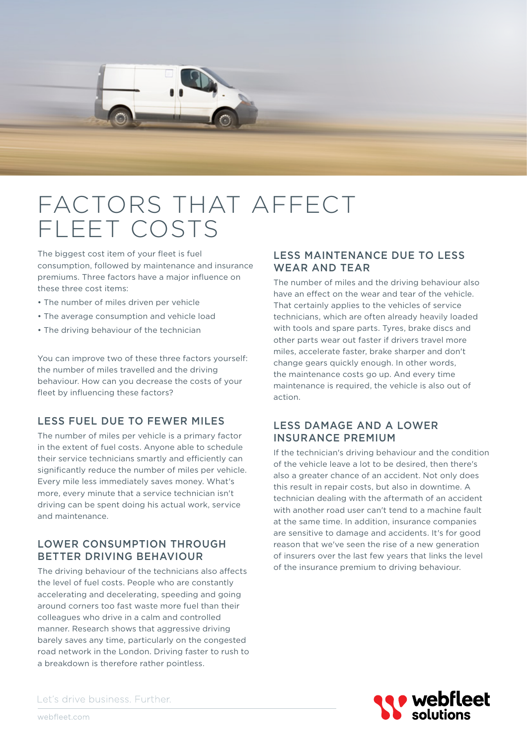

## Factors that affect fleet costs

The biggest cost item of your fleet is fuel consumption, followed by maintenance and insurance premiums. Three factors have a major influence on these three cost items:

- The number of miles driven per vehicle
- The average consumption and vehicle load
- The driving behaviour of the technician

You can improve two of these three factors yourself: the number of miles travelled and the driving behaviour. How can you decrease the costs of your fleet by influencing these factors?

#### Less fuel due to fewer Miles

The number of miles per vehicle is a primary factor in the extent of fuel costs. Anyone able to schedule their service technicians smartly and efficiently can significantly reduce the number of miles per vehicle. Every mile less immediately saves money. What's more, every minute that a service technician isn't driving can be spent doing his actual work, service and maintenance.

#### Lower consumption through better driving behaviour

The driving behaviour of the technicians also affects the level of fuel costs. People who are constantly accelerating and decelerating, speeding and going around corners too fast waste more fuel than their colleagues who drive in a calm and controlled manner. Research shows that aggressive driving barely saves any time, particularly on the congested road network in the London. Driving faster to rush to a breakdown is therefore rather pointless.

#### Less maintenance due to less wear and tear

The number of miles and the driving behaviour also have an effect on the wear and tear of the vehicle. That certainly applies to the vehicles of service technicians, which are often already heavily loaded with tools and spare parts. Tyres, brake discs and other parts wear out faster if drivers travel more miles, accelerate faster, brake sharper and don't change gears quickly enough. In other words, the maintenance costs go up. And every time maintenance is required, the vehicle is also out of action.

#### Less damage and a lower insurance premium

If the technician's driving behaviour and the condition of the vehicle leave a lot to be desired, then there's also a greater chance of an accident. Not only does this result in repair costs, but also in downtime. A technician dealing with the aftermath of an accident with another road user can't tend to a machine fault at the same time. In addition, insurance companies are sensitive to damage and accidents. It's for good reason that we've seen the rise of a new generation of insurers over the last few years that links the level of the insurance premium to driving behaviour.

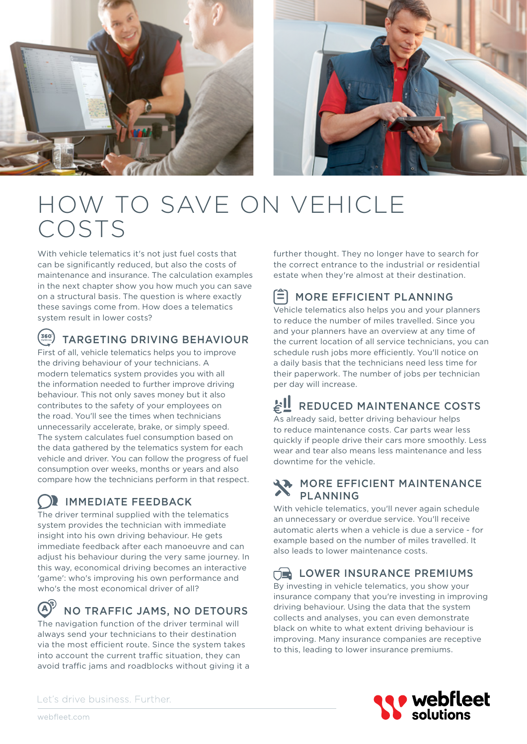



# HOW TO SAVE ON VEHICLE<br>COSTS

With vehicle telematics it's not just fuel costs that can be significantly reduced, but also the costs of maintenance and insurance. The calculation examples in the next chapter show you how much you can save on a structural basis. The question is where exactly these savings come from. How does a telematics system result in lower costs?

#### $<sup>360</sup>$ </sup> Targeting driving behaviour

First of all, vehicle telematics helps you to improve the driving behaviour of your technicians. A modern telematics system provides you with all the information needed to further improve driving behaviour. This not only saves money but it also contributes to the safety of your employees on the road. You'll see the times when technicians unnecessarily accelerate, brake, or simply speed. The system calculates fuel consumption based on the data gathered by the telematics system for each vehicle and driver. You can follow the progress of fuel consumption over weeks, months or years and also compare how the technicians perform in that respect.

## Immediate feedback

The driver terminal supplied with the telematics system provides the technician with immediate insight into his own driving behaviour. He gets immediate feedback after each manoeuvre and can adjust his behaviour during the very same journey. In this way, economical driving becomes an interactive 'game': who's improving his own performance and who's the most economical driver of all?

#### $\mathbf{A}$ No traffic jams, no detours

The navigation function of the driver terminal will always send your technicians to their destination via the most efficient route. Since the system takes into account the current traffic situation, they can avoid traffic jams and roadblocks without giving it a

further thought. They no longer have to search for the correct entrance to the industrial or residential estate when they're almost at their destination.

#### ſΞ More efficient planning

Vehicle telematics also helps you and your planners to reduce the number of miles travelled. Since you and your planners have an overview at any time of the current location of all service technicians, you can schedule rush jobs more efficiently. You'll notice on a daily basis that the technicians need less time for their paperwork. The number of jobs per technician per day will increase.

## Reduced maintenance costs

As already said, better driving behaviour helps to reduce maintenance costs. Car parts wear less quickly if people drive their cars more smoothly. Less wear and tear also means less maintenance and less downtime for the vehicle.

#### More efficient maintenance **PLANNING**

With vehicle telematics, you'll never again schedule an unnecessary or overdue service. You'll receive automatic alerts when a vehicle is due a service - for example based on the number of miles travelled. It also leads to lower maintenance costs.

## $T_{\text{max}}$  LOWER INSURANCE PREMIUMS

By investing in vehicle telematics, you show your insurance company that you're investing in improving driving behaviour. Using the data that the system collects and analyses, you can even demonstrate black on white to what extent driving behaviour is improving. Many insurance companies are receptive to this, leading to lower insurance premiums.

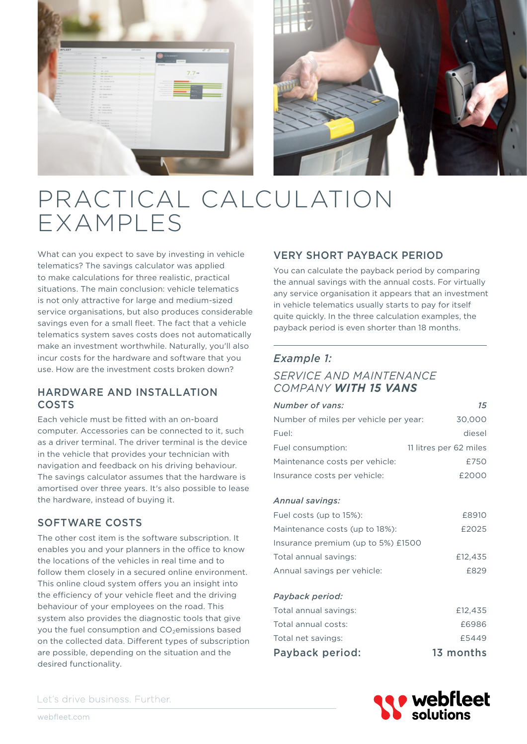



# Practical calculation examples

What can you expect to save by investing in vehicle telematics? The savings calculator was applied to make calculations for three realistic, practical situations. The main conclusion: vehicle telematics is not only attractive for large and medium-sized service organisations, but also produces considerable savings even for a small fleet. The fact that a vehicle telematics system saves costs does not automatically make an investment worthwhile. Naturally, you'll also incur costs for the hardware and software that you use. How are the investment costs broken down?

#### Hardware and installation costs

Each vehicle must be fitted with an on-board computer. Accessories can be connected to it, such as a driver terminal. The driver terminal is the device in the vehicle that provides your technician with navigation and feedback on his driving behaviour. The savings calculator assumes that the hardware is amortised over three years. It's also possible to lease the hardware, instead of buying it.

#### Software costs

The other cost item is the software subscription. It enables you and your planners in the office to know the locations of the vehicles in real time and to follow them closely in a secured online environment. This online cloud system offers you an insight into the efficiency of your vehicle fleet and the driving behaviour of your employees on the road. This system also provides the diagnostic tools that give you the fuel consumption and  $CO<sub>2</sub>$ emissions based on the collected data. Different types of subscription are possible, depending on the situation and the desired functionality.

#### Very short payback period

You can calculate the payback period by comparing the annual savings with the annual costs. For virtually any service organisation it appears that an investment in vehicle telematics usually starts to pay for itself quite quickly. In the three calculation examples, the payback period is even shorter than 18 months.

#### *Example 1:*

#### *Service and maintenance company with 15 vans*

| 15                                              |
|-------------------------------------------------|
| 30,000<br>Number of miles per vehicle per year: |
| diesel                                          |
| 11 litres per 62 miles                          |
| £750                                            |
| £2000                                           |
|                                                 |
| £8910                                           |
| £2025                                           |
| Insurance premium (up to 5%) £1500              |
| £12,435                                         |
| £829                                            |
|                                                 |
| £12,435                                         |
| £6986                                           |
| £5449                                           |
| 13 months                                       |
|                                                 |

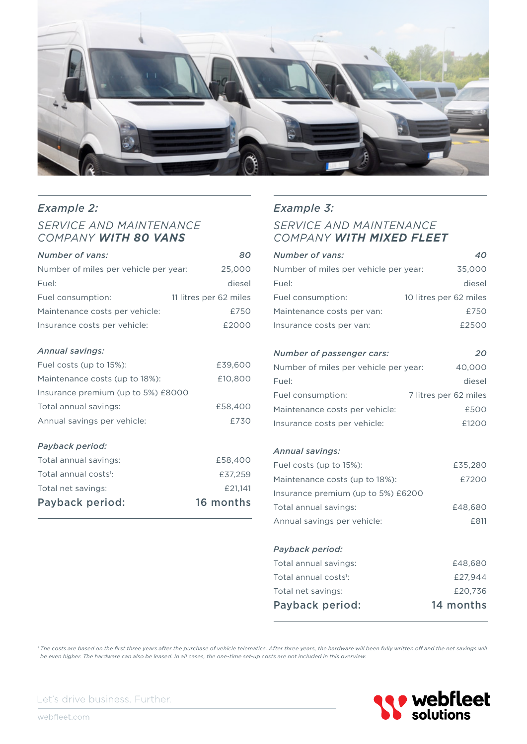

#### *Example 2: Service and maintenance company with 80 vans*

| Number of vans:                       | 80                     |
|---------------------------------------|------------------------|
| Number of miles per vehicle per year: | 25,000                 |
| Fuel:                                 | diesel                 |
| Fuel consumption:                     | 11 litres per 62 miles |
| Maintenance costs per vehicle:        | £750                   |
| Insurance costs per vehicle:          | £2000                  |
| Annual savings:                       |                        |

| Fuel costs (up to 15%):            | £39,600 |
|------------------------------------|---------|
| Maintenance costs (up to 18%):     | £10,800 |
| Insurance premium (up to 5%) £8000 |         |
| Total annual savings:              | £58,400 |
| Annual savings per vehicle:        | £730    |

#### *Payback period:*

| 16 months |
|-----------|
| £21.141   |
| £37.259   |
| £58,400   |
|           |

### *Example 3: Service and maintenance*

## *company with mixed fleet*

| Number of vans:                       | 40                     |
|---------------------------------------|------------------------|
| Number of miles per vehicle per year: | 35,000                 |
| Fuel:                                 | diesel                 |
| Fuel consumption:                     | 10 litres per 62 miles |
| Maintenance costs per van:            | £750                   |
| Insurance costs per van:              | £2500                  |
|                                       |                        |
| Number of passenger cars:             | 20                     |
| Number of miles per vehicle per year: | 40,000                 |
| Fuel:                                 | diesel                 |
| Fuel consumption:                     | 7 litres per 62 miles  |
|                                       |                        |

## Maintenance costs per vehicle: <br>
£500 Insurance costs per vehicle: £1200

#### *Annual savings:*

| Fuel costs (up to 15%):            | £35,280 |
|------------------------------------|---------|
| Maintenance costs (up to 18%):     | £7200   |
| Insurance premium (up to 5%) £6200 |         |
| Total annual savings:              | £48,680 |
| Annual savings per vehicle:        | £811    |
|                                    |         |

#### *Payback period:*

| Payback period:                   | 14 months |
|-----------------------------------|-----------|
| Total net savings:                | £20.736   |
| Total annual costs <sup>1</sup> : | £27.944   |
| Total annual savings:             | £48,680   |
|                                   |           |

*1 The costs are based on the first three years after the purchase of vehicle telematics. After three years, the hardware will been fully written off and the net savings will be even higher. The hardware can also be leased. In all cases, the one-time set-up costs are not included in this overview.*



Let's drive business. Further.

webfleet.com